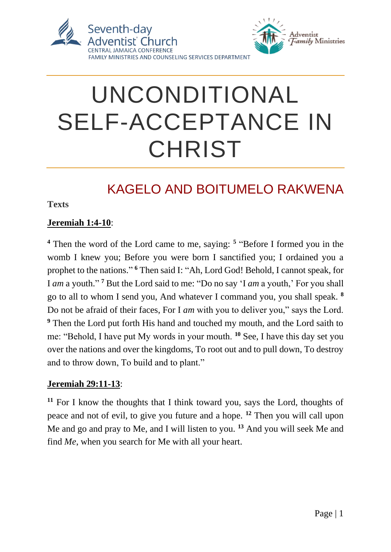

# UNCONDITIONAL SELF-ACCEPTANCE IN **CHRIST**

# KAGELO AND BOITUMELO RAKWENA

#### **Texts**

#### **Jeremiah 1:4-10**:

**<sup>4</sup>** Then the word of the Lord came to me, saying: **<sup>5</sup>** "Before I formed you in the womb I knew you; Before you were born I sanctified you; I ordained you a prophet to the nations." <sup>6</sup> Then said I: "Ah, Lord God! Behold, I cannot speak, for I *am* a youth."<sup>7</sup> But the Lord said to me: "Do no say 'I *am* a youth,' For you shall go to all to whom I send you, And whatever I command you, you shall speak. **<sup>8</sup>** Do not be afraid of their faces, For I *am* with you to deliver you," says the Lord. **<sup>9</sup>** Then the Lord put forth His hand and touched my mouth, and the Lord saith to me: "Behold, I have put My words in your mouth. **<sup>10</sup>** See, I have this day set you over the nations and over the kingdoms, To root out and to pull down, To destroy and to throw down, To build and to plant."

#### **Jeremiah 29:11-13**:

**<sup>11</sup>** For I know the thoughts that I think toward you, says the Lord, thoughts of peace and not of evil, to give you future and a hope. **<sup>12</sup>** Then you will call upon Me and go and pray to Me, and I will listen to you. **<sup>13</sup>** And you will seek Me and find *Me*, when you search for Me with all your heart.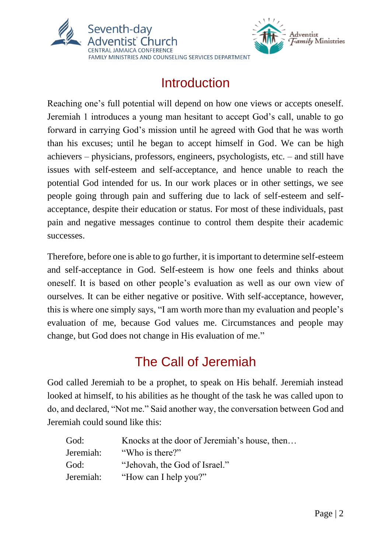



### Introduction

Reaching one's full potential will depend on how one views or accepts oneself. Jeremiah 1 introduces a young man hesitant to accept God's call, unable to go forward in carrying God's mission until he agreed with God that he was worth than his excuses; until he began to accept himself in God. We can be high achievers – physicians, professors, engineers, psychologists, etc. – and still have issues with self-esteem and self-acceptance, and hence unable to reach the potential God intended for us. In our work places or in other settings, we see people going through pain and suffering due to lack of self-esteem and selfacceptance, despite their education or status. For most of these individuals, past pain and negative messages continue to control them despite their academic successes.

Therefore, before one is able to go further, it is important to determine self-esteem and self-acceptance in God. Self-esteem is how one feels and thinks about oneself. It is based on other people's evaluation as well as our own view of ourselves. It can be either negative or positive. With self-acceptance, however, this is where one simply says, "I am worth more than my evaluation and people's evaluation of me, because God values me. Circumstances and people may change, but God does not change in His evaluation of me."

# The Call of Jeremiah

God called Jeremiah to be a prophet, to speak on His behalf. Jeremiah instead looked at himself, to his abilities as he thought of the task he was called upon to do, and declared, "Not me." Said another way, the conversation between God and Jeremiah could sound like this:

| God:      | Knocks at the door of Jeremiah's house, then |
|-----------|----------------------------------------------|
| Jeremiah: | "Who is there?"                              |
| God:      | "Jehovah, the God of Israel."                |
| Jeremiah: | "How can I help you?"                        |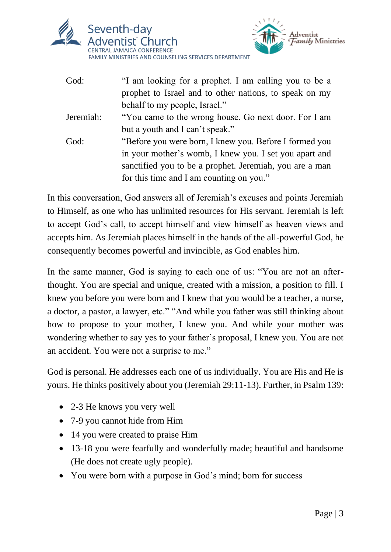

| God:      | "I am looking for a prophet. I am calling you to be a   |
|-----------|---------------------------------------------------------|
|           | prophet to Israel and to other nations, to speak on my  |
|           | behalf to my people, Israel."                           |
| Jeremiah: | "You came to the wrong house. Go next door. For I am    |
|           | but a youth and I can't speak."                         |
| God:      | "Before you were born, I knew you. Before I formed you  |
|           | in your mother's womb, I knew you. I set you apart and  |
|           | sanctified you to be a prophet. Jeremiah, you are a man |
|           | for this time and I am counting on you."                |
|           |                                                         |

In this conversation, God answers all of Jeremiah's excuses and points Jeremiah to Himself, as one who has unlimited resources for His servant. Jeremiah is left to accept God's call, to accept himself and view himself as heaven views and accepts him. As Jeremiah places himself in the hands of the all-powerful God, he consequently becomes powerful and invincible, as God enables him.

In the same manner, God is saying to each one of us: "You are not an afterthought. You are special and unique, created with a mission, a position to fill. I knew you before you were born and I knew that you would be a teacher, a nurse, a doctor, a pastor, a lawyer, etc." "And while you father was still thinking about how to propose to your mother, I knew you. And while your mother was wondering whether to say yes to your father's proposal, I knew you. You are not an accident. You were not a surprise to me."

God is personal. He addresses each one of us individually. You are His and He is yours. He thinks positively about you (Jeremiah 29:11-13). Further, in Psalm 139:

- 2-3 He knows you very well
- 7-9 you cannot hide from Him
- 14 you were created to praise Him
- 13-18 you were fearfully and wonderfully made; beautiful and handsome (He does not create ugly people).
- You were born with a purpose in God's mind; born for success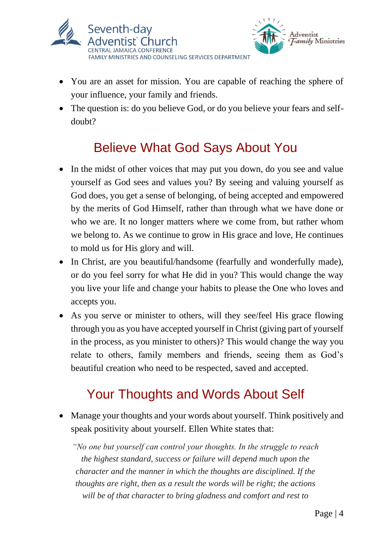

- You are an asset for mission. You are capable of reaching the sphere of your influence, your family and friends.
- The question is: do you believe God, or do you believe your fears and selfdoubt?

# Believe What God Says About You

- In the midst of other voices that may put you down, do you see and value yourself as God sees and values you? By seeing and valuing yourself as God does, you get a sense of belonging, of being accepted and empowered by the merits of God Himself, rather than through what we have done or who we are. It no longer matters where we come from, but rather whom we belong to. As we continue to grow in His grace and love, He continues to mold us for His glory and will.
- In Christ, are you beautiful/handsome (fearfully and wonderfully made), or do you feel sorry for what He did in you? This would change the way you live your life and change your habits to please the One who loves and accepts you.
- As you serve or minister to others, will they see/feel His grace flowing through you as you have accepted yourself in Christ (giving part of yourself in the process, as you minister to others)? This would change the way you relate to others, family members and friends, seeing them as God's beautiful creation who need to be respected, saved and accepted.

# Your Thoughts and Words About Self

• Manage your thoughts and your words about yourself. Think positively and speak positivity about yourself. Ellen White states that:

*"No one but yourself can control your thoughts. In the struggle to reach the highest standard, success or failure will depend much upon the character and the manner in which the thoughts are disciplined. If the thoughts are right, then as a result the words will be right; the actions will be of that character to bring gladness and comfort and rest to*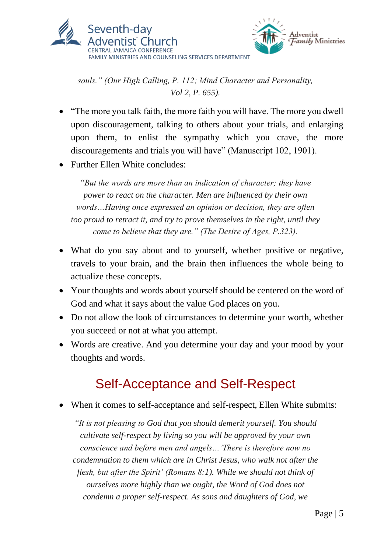

*souls." (Our High Calling, P. 112; Mind Character and Personality, Vol 2, P. 655).*

- "The more you talk faith, the more faith you will have. The more you dwell upon discouragement, talking to others about your trials, and enlarging upon them, to enlist the sympathy which you crave, the more discouragements and trials you will have" (Manuscript 102, 1901).
- Further Ellen White concludes:

*"But the words are more than an indication of character; they have power to react on the character. Men are influenced by their own words…Having once expressed an opinion or decision, they are often too proud to retract it, and try to prove themselves in the right, until they come to believe that they are." (The Desire of Ages, P.323).*

- What do you say about and to yourself, whether positive or negative, travels to your brain, and the brain then influences the whole being to actualize these concepts.
- Your thoughts and words about yourself should be centered on the word of God and what it says about the value God places on you.
- Do not allow the look of circumstances to determine your worth, whether you succeed or not at what you attempt.
- Words are creative. And you determine your day and your mood by your thoughts and words.

### Self-Acceptance and Self-Respect

• When it comes to self-acceptance and self-respect, Ellen White submits:

*"It is not pleasing to God that you should demerit yourself. You should cultivate self-respect by living so you will be approved by your own conscience and before men and angels…'There is therefore now no condemnation to them which are in Christ Jesus, who walk not after the flesh, but after the Spirit' (Romans 8:1). While we should not think of ourselves more highly than we ought, the Word of God does not condemn a proper self-respect. As sons and daughters of God, we*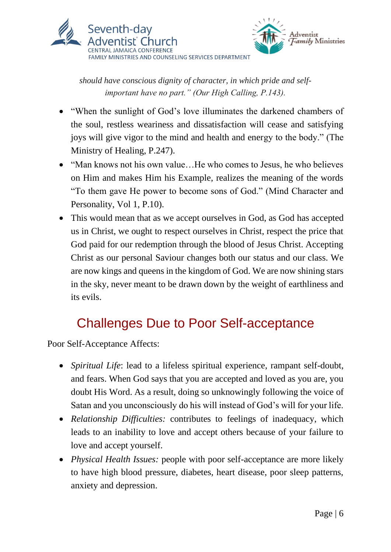

*should have conscious dignity of character, in which pride and selfimportant have no part." (Our High Calling, P.143).*

- "When the sunlight of God's love illuminates the darkened chambers of the soul, restless weariness and dissatisfaction will cease and satisfying joys will give vigor to the mind and health and energy to the body." (The Ministry of Healing, P.247).
- "Man knows not his own value...He who comes to Jesus, he who believes on Him and makes Him his Example, realizes the meaning of the words "To them gave He power to become sons of God." (Mind Character and Personality, Vol 1, P.10).
- This would mean that as we accept ourselves in God, as God has accepted us in Christ, we ought to respect ourselves in Christ, respect the price that God paid for our redemption through the blood of Jesus Christ. Accepting Christ as our personal Saviour changes both our status and our class. We are now kings and queens in the kingdom of God. We are now shining stars in the sky, never meant to be drawn down by the weight of earthliness and its evils.

# Challenges Due to Poor Self-acceptance

Poor Self-Acceptance Affects:

- *Spiritual Life*: lead to a lifeless spiritual experience, rampant self-doubt, and fears. When God says that you are accepted and loved as you are, you doubt His Word. As a result, doing so unknowingly following the voice of Satan and you unconsciously do his will instead of God's will for your life.
- *Relationship Difficulties:* contributes to feelings of inadequacy, which leads to an inability to love and accept others because of your failure to love and accept yourself.
- *Physical Health Issues:* people with poor self-acceptance are more likely to have high blood pressure, diabetes, heart disease, poor sleep patterns, anxiety and depression.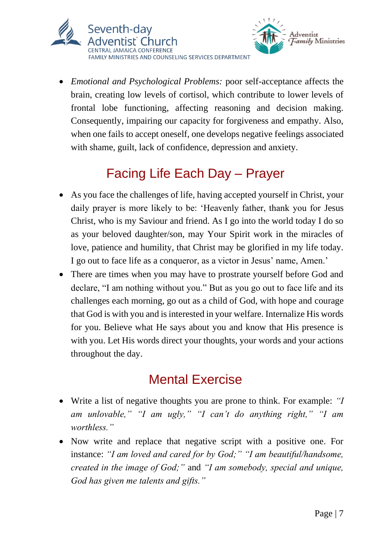



• *Emotional and Psychological Problems:* poor self-acceptance affects the brain, creating low levels of cortisol, which contribute to lower levels of frontal lobe functioning, affecting reasoning and decision making. Consequently, impairing our capacity for forgiveness and empathy. Also, when one fails to accept oneself, one develops negative feelings associated with shame, guilt, lack of confidence, depression and anxiety.

# Facing Life Each Day – Prayer

- As you face the challenges of life, having accepted yourself in Christ, your daily prayer is more likely to be: 'Heavenly father, thank you for Jesus Christ, who is my Saviour and friend. As I go into the world today I do so as your beloved daughter/son, may Your Spirit work in the miracles of love, patience and humility, that Christ may be glorified in my life today. I go out to face life as a conqueror, as a victor in Jesus' name, Amen.'
- There are times when you may have to prostrate yourself before God and declare, "I am nothing without you." But as you go out to face life and its challenges each morning, go out as a child of God, with hope and courage that God is with you and is interested in your welfare. Internalize His words for you. Believe what He says about you and know that His presence is with you. Let His words direct your thoughts, your words and your actions throughout the day.

# Mental Exercise

- Write a list of negative thoughts you are prone to think. For example: *"I am unlovable," "I am ugly," "I can't do anything right," "I am worthless."*
- Now write and replace that negative script with a positive one. For instance: *"I am loved and cared for by God;" "I am beautiful/handsome, created in the image of God;"* and *"I am somebody, special and unique, God has given me talents and gifts."*